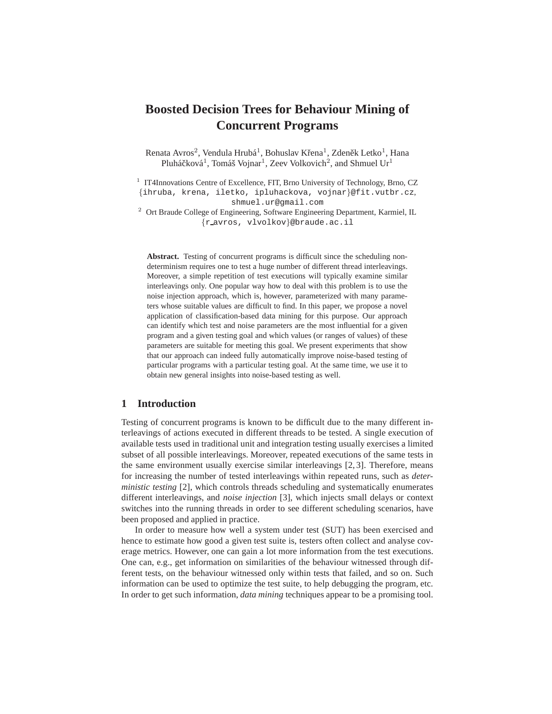# **Boosted Decision Trees for Behaviour Mining of Concurrent Programs**

Renata Avros<sup>2</sup>, Vendula Hrubá<sup>1</sup>, Bohuslav Křena<sup>1</sup>, Zdeněk Letko<sup>1</sup>, Hana Pluháčková<sup>1</sup>, Tomáš Vojnar<sup>1</sup>, Zeev Volkovich<sup>2</sup>, and Shmuel Ur<sup>1</sup>

<sup>1</sup> IT4Innovations Centre of Excellence, FIT, Brno University of Technology, Brno, CZ {ihruba, krena, iletko, ipluhackova, vojnar}@fit.vutbr.cz,

shmuel.ur@gmail.com

<sup>2</sup> Ort Braude College of Engineering, Software Engineering Department, Karmiel, IL {r avros, vlvolkov}@braude.ac.il

**Abstract.** Testing of concurrent programs is difficult since the scheduling nondeterminism requires one to test a huge number of different thread interleavings. Moreover, a simple repetition of test executions will typically examine similar interleavings only. One popular way how to deal with this problem is to use the noise injection approach, which is, however, parameterized with many parameters whose suitable values are difficult to find. In this paper, we propose a novel application of classification-based data mining for this purpose. Our approach can identify which test and noise parameters are the most influential for a given program and a given testing goal and which values (or ranges of values) of these parameters are suitable for meeting this goal. We present experiments that show that our approach can indeed fully automatically improve noise-based testing of particular programs with a particular testing goal. At the same time, we use it to obtain new general insights into noise-based testing as well.

# **1 Introduction**

Testing of concurrent programs is known to be difficult due to the many different interleavings of actions executed in different threads to be tested. A single execution of available tests used in traditional unit and integration testing usually exercises a limited subset of all possible interleavings. Moreover, repeated executions of the same tests in the same environment usually exercise similar interleavings [2, 3]. Therefore, means for increasing the number of tested interleavings within repeated runs, such as *deterministic testing* [2], which controls threads scheduling and systematically enumerates different interleavings, and *noise injection* [3], which injects small delays or context switches into the running threads in order to see different scheduling scenarios, have been proposed and applied in practice.

In order to measure how well a system under test (SUT) has been exercised and hence to estimate how good a given test suite is, testers often collect and analyse coverage metrics. However, one can gain a lot more information from the test executions. One can, e.g., get information on similarities of the behaviour witnessed through different tests, on the behaviour witnessed only within tests that failed, and so on. Such information can be used to optimize the test suite, to help debugging the program, etc. In order to get such information, *data mining* techniques appear to be a promising tool.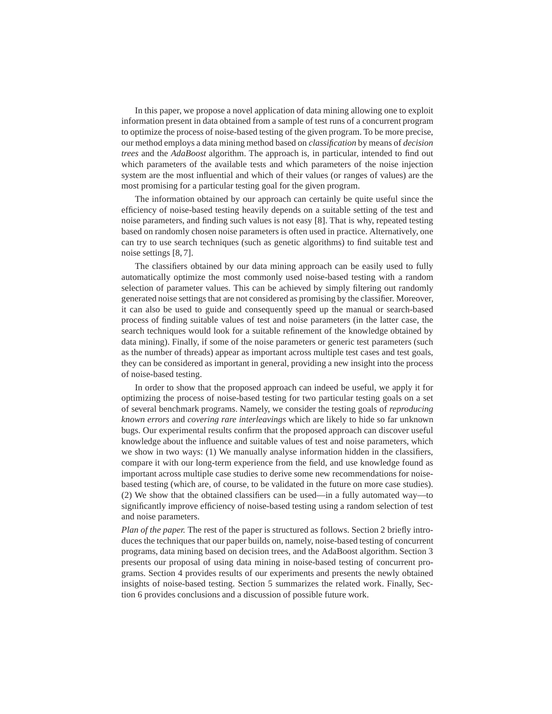In this paper, we propose a novel application of data mining allowing one to exploit information present in data obtained from a sample of test runs of a concurrent program to optimize the process of noise-based testing of the given program. To be more precise, our method employs a data mining method based on *classification* by means of *decision trees* and the *AdaBoost* algorithm. The approach is, in particular, intended to find out which parameters of the available tests and which parameters of the noise injection system are the most influential and which of their values (or ranges of values) are the most promising for a particular testing goal for the given program.

The information obtained by our approach can certainly be quite useful since the efficiency of noise-based testing heavily depends on a suitable setting of the test and noise parameters, and finding such values is not easy [8]. That is why, repeated testing based on randomly chosen noise parameters is often used in practice. Alternatively, one can try to use search techniques (such as genetic algorithms) to find suitable test and noise settings [8, 7].

The classifiers obtained by our data mining approach can be easily used to fully automatically optimize the most commonly used noise-based testing with a random selection of parameter values. This can be achieved by simply filtering out randomly generated noise settings that are not considered as promising by the classifier. Moreover, it can also be used to guide and consequently speed up the manual or search-based process of finding suitable values of test and noise parameters (in the latter case, the search techniques would look for a suitable refinement of the knowledge obtained by data mining). Finally, if some of the noise parameters or generic test parameters (such as the number of threads) appear as important across multiple test cases and test goals, they can be considered as important in general, providing a new insight into the process of noise-based testing.

In order to show that the proposed approach can indeed be useful, we apply it for optimizing the process of noise-based testing for two particular testing goals on a set of several benchmark programs. Namely, we consider the testing goals of *reproducing known errors* and *covering rare interleavings* which are likely to hide so far unknown bugs. Our experimental results confirm that the proposed approach can discover useful knowledge about the influence and suitable values of test and noise parameters, which we show in two ways: (1) We manually analyse information hidden in the classifiers, compare it with our long-term experience from the field, and use knowledge found as important across multiple case studies to derive some new recommendations for noisebased testing (which are, of course, to be validated in the future on more case studies). (2) We show that the obtained classifiers can be used—in a fully automated way—to significantly improve efficiency of noise-based testing using a random selection of test and noise parameters.

*Plan of the paper.* The rest of the paper is structured as follows. Section 2 briefly introduces the techniques that our paper builds on, namely, noise-based testing of concurrent programs, data mining based on decision trees, and the AdaBoost algorithm. Section 3 presents our proposal of using data mining in noise-based testing of concurrent programs. Section 4 provides results of our experiments and presents the newly obtained insights of noise-based testing. Section 5 summarizes the related work. Finally, Section 6 provides conclusions and a discussion of possible future work.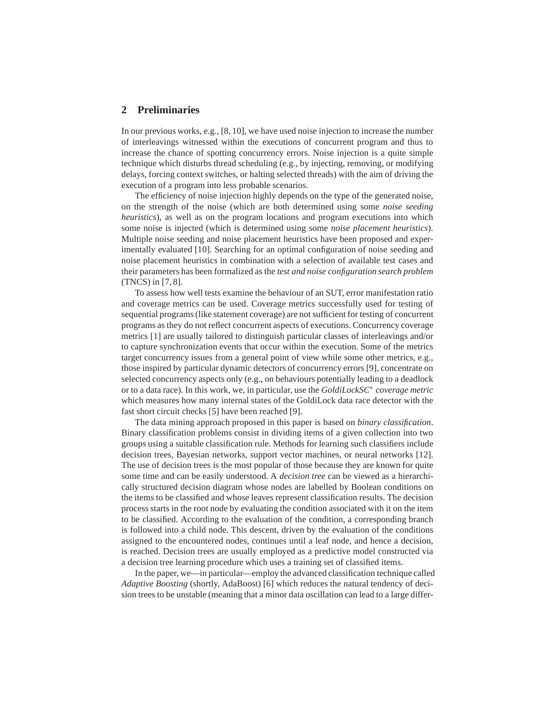## **2 Preliminaries**

In our previous works, e.g., [8, 10], we have used noise injection to increase the number of interleavings witnessed within the executions of concurrent program and thus to increase the chance of spotting concurrency errors. Noise injection is a quite simple technique which disturbs thread scheduling (e.g., by injecting, removing, or modifying delays, forcing context switches, or halting selected threads) with the aim of driving the execution of a program into less probable scenarios.

The efficiency of noise injection highly depends on the type of the generated noise, on the strength of the noise (which are both determined using some *noise seeding heuristics*), as well as on the program locations and program executions into which some noise is injected (which is determined using some *noise placement heuristics*). Multiple noise seeding and noise placement heuristics have been proposed and experimentally evaluated [10]. Searching for an optimal configuration of noise seeding and noise placement heuristics in combination with a selection of available test cases and their parameters has been formalized as the *test and noise configuration search problem* (TNCS) in [7, 8].

To assess how well tests examine the behaviour of an SUT, error manifestation ratio and coverage metrics can be used. Coverage metrics successfully used for testing of sequential programs (like statement coverage) are not sufficient for testing of concurrent programs as they do not reflect concurrent aspects of executions. Concurrency coverage metrics [1] are usually tailored to distinguish particular classes of interleavings and/or to capture synchronization events that occur within the execution. Some of the metrics target concurrency issues from a general point of view while some other metrics, e.g., those inspired by particular dynamic detectors of concurrency errors [9], concentrate on selected concurrency aspects only (e.g., on behaviours potentially leading to a deadlock or to a data race). In this work, we, in particular, use the *GoldiLockSC*<sup>∗</sup> *coverage metric* which measures how many internal states of the GoldiLock data race detector with the fast short circuit checks [5] have been reached [9].

The data mining approach proposed in this paper is based on *binary classification*. Binary classification problems consist in dividing items of a given collection into two groups using a suitable classification rule. Methods for learning such classifiers include decision trees, Bayesian networks, support vector machines, or neural networks [12]. The use of decision trees is the most popular of those because they are known for quite some time and can be easily understood. A *decision tree* can be viewed as a hierarchically structured decision diagram whose nodes are labelled by Boolean conditions on the items to be classified and whose leaves represent classification results. The decision process starts in the root node by evaluating the condition associated with it on the item to be classified. According to the evaluation of the condition, a corresponding branch is followed into a child node. This descent, driven by the evaluation of the conditions assigned to the encountered nodes, continues until a leaf node, and hence a decision, is reached. Decision trees are usually employed as a predictive model constructed via a decision tree learning procedure which uses a training set of classified items.

In the paper, we—in particular—employ the advanced classification technique called *Adaptive Boosting* (shortly, AdaBoost) [6] which reduces the natural tendency of decision trees to be unstable (meaning that a minor data oscillation can lead to a large differ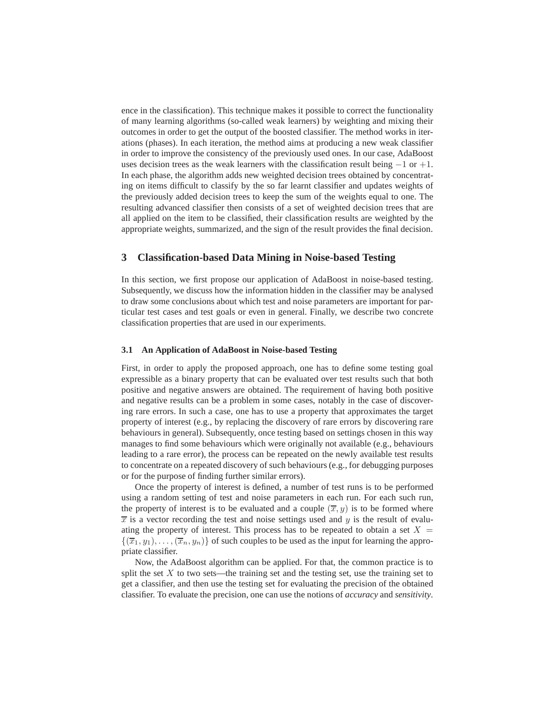ence in the classification). This technique makes it possible to correct the functionality of many learning algorithms (so-called weak learners) by weighting and mixing their outcomes in order to get the output of the boosted classifier. The method works in iterations (phases). In each iteration, the method aims at producing a new weak classifier in order to improve the consistency of the previously used ones. In our case, AdaBoost uses decision trees as the weak learners with the classification result being  $-1$  or  $+1$ . In each phase, the algorithm adds new weighted decision trees obtained by concentrating on items difficult to classify by the so far learnt classifier and updates weights of the previously added decision trees to keep the sum of the weights equal to one. The resulting advanced classifier then consists of a set of weighted decision trees that are all applied on the item to be classified, their classification results are weighted by the appropriate weights, summarized, and the sign of the result provides the final decision.

# **3 Classification-based Data Mining in Noise-based Testing**

In this section, we first propose our application of AdaBoost in noise-based testing. Subsequently, we discuss how the information hidden in the classifier may be analysed to draw some conclusions about which test and noise parameters are important for particular test cases and test goals or even in general. Finally, we describe two concrete classification properties that are used in our experiments.

## **3.1 An Application of AdaBoost in Noise-based Testing**

First, in order to apply the proposed approach, one has to define some testing goal expressible as a binary property that can be evaluated over test results such that both positive and negative answers are obtained. The requirement of having both positive and negative results can be a problem in some cases, notably in the case of discovering rare errors. In such a case, one has to use a property that approximates the target property of interest (e.g., by replacing the discovery of rare errors by discovering rare behaviours in general). Subsequently, once testing based on settings chosen in this way manages to find some behaviours which were originally not available (e.g., behaviours leading to a rare error), the process can be repeated on the newly available test results to concentrate on a repeated discovery of such behaviours (e.g., for debugging purposes or for the purpose of finding further similar errors).

Once the property of interest is defined, a number of test runs is to be performed using a random setting of test and noise parameters in each run. For each such run, the property of interest is to be evaluated and a couple  $(\overline{x}, y)$  is to be formed where  $\overline{x}$  is a vector recording the test and noise settings used and y is the result of evaluating the property of interest. This process has to be repeated to obtain a set  $X =$  $\{(\overline{x}_1, y_1), \ldots, (\overline{x}_n, y_n)\}\$  of such couples to be used as the input for learning the appropriate classifier.

Now, the AdaBoost algorithm can be applied. For that, the common practice is to split the set  $X$  to two sets—the training set and the testing set, use the training set to get a classifier, and then use the testing set for evaluating the precision of the obtained classifier. To evaluate the precision, one can use the notions of *accuracy* and *sensitivity*.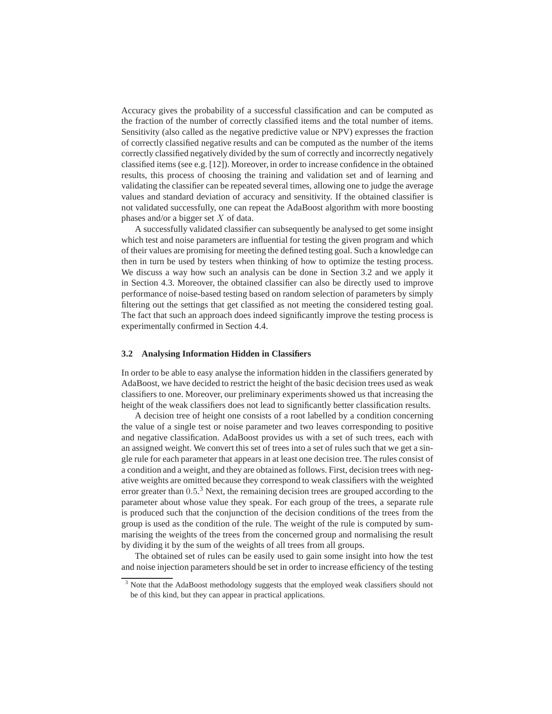Accuracy gives the probability of a successful classification and can be computed as the fraction of the number of correctly classified items and the total number of items. Sensitivity (also called as the negative predictive value or NPV) expresses the fraction of correctly classified negative results and can be computed as the number of the items correctly classified negatively divided by the sum of correctly and incorrectly negatively classified items (see e.g. [12]). Moreover, in order to increase confidence in the obtained results, this process of choosing the training and validation set and of learning and validating the classifier can be repeated several times, allowing one to judge the average values and standard deviation of accuracy and sensitivity. If the obtained classifier is not validated successfully, one can repeat the AdaBoost algorithm with more boosting phases and/or a bigger set X of data.

A successfully validated classifier can subsequently be analysed to get some insight which test and noise parameters are influential for testing the given program and which of their values are promising for meeting the defined testing goal. Such a knowledge can then in turn be used by testers when thinking of how to optimize the testing process. We discuss a way how such an analysis can be done in Section 3.2 and we apply it in Section 4.3. Moreover, the obtained classifier can also be directly used to improve performance of noise-based testing based on random selection of parameters by simply filtering out the settings that get classified as not meeting the considered testing goal. The fact that such an approach does indeed significantly improve the testing process is experimentally confirmed in Section 4.4.

#### **3.2 Analysing Information Hidden in Classifiers**

In order to be able to easy analyse the information hidden in the classifiers generated by AdaBoost, we have decided to restrict the height of the basic decision trees used as weak classifiers to one. Moreover, our preliminary experiments showed us that increasing the height of the weak classifiers does not lead to significantly better classification results.

A decision tree of height one consists of a root labelled by a condition concerning the value of a single test or noise parameter and two leaves corresponding to positive and negative classification. AdaBoost provides us with a set of such trees, each with an assigned weight. We convert this set of trees into a set of rules such that we get a single rule for each parameter that appears in at least one decision tree. The rules consist of a condition and a weight, and they are obtained as follows. First, decision trees with negative weights are omitted because they correspond to weak classifiers with the weighted error greater than 0.5.<sup>3</sup> Next, the remaining decision trees are grouped according to the parameter about whose value they speak. For each group of the trees, a separate rule is produced such that the conjunction of the decision conditions of the trees from the group is used as the condition of the rule. The weight of the rule is computed by summarising the weights of the trees from the concerned group and normalising the result by dividing it by the sum of the weights of all trees from all groups.

The obtained set of rules can be easily used to gain some insight into how the test and noise injection parameters should be set in order to increase efficiency of the testing

 $3$  Note that the AdaBoost methodology suggests that the employed weak classifiers should not be of this kind, but they can appear in practical applications.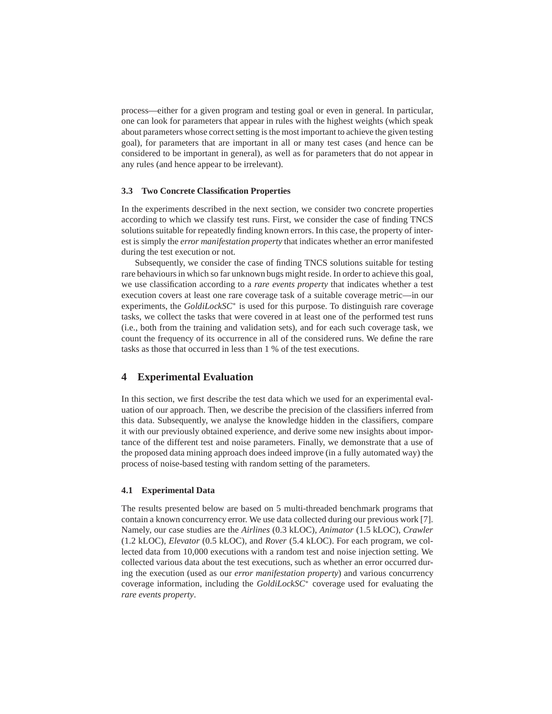process—either for a given program and testing goal or even in general. In particular, one can look for parameters that appear in rules with the highest weights (which speak about parameters whose correct setting is the most important to achieve the given testing goal), for parameters that are important in all or many test cases (and hence can be considered to be important in general), as well as for parameters that do not appear in any rules (and hence appear to be irrelevant).

## **3.3 Two Concrete Classification Properties**

In the experiments described in the next section, we consider two concrete properties according to which we classify test runs. First, we consider the case of finding TNCS solutions suitable for repeatedly finding known errors. In this case, the property of interest is simply the *error manifestation property* that indicates whether an error manifested during the test execution or not.

Subsequently, we consider the case of finding TNCS solutions suitable for testing rare behaviours in which so far unknown bugs might reside. In order to achieve this goal, we use classification according to a *rare events property* that indicates whether a test execution covers at least one rare coverage task of a suitable coverage metric—in our experiments, the *GoldiLockSC*<sup>∗</sup> is used for this purpose. To distinguish rare coverage tasks, we collect the tasks that were covered in at least one of the performed test runs (i.e., both from the training and validation sets), and for each such coverage task, we count the frequency of its occurrence in all of the considered runs. We define the rare tasks as those that occurred in less than 1 % of the test executions.

## **4 Experimental Evaluation**

In this section, we first describe the test data which we used for an experimental evaluation of our approach. Then, we describe the precision of the classifiers inferred from this data. Subsequently, we analyse the knowledge hidden in the classifiers, compare it with our previously obtained experience, and derive some new insights about importance of the different test and noise parameters. Finally, we demonstrate that a use of the proposed data mining approach does indeed improve (in a fully automated way) the process of noise-based testing with random setting of the parameters.

## **4.1 Experimental Data**

The results presented below are based on 5 multi-threaded benchmark programs that contain a known concurrency error. We use data collected during our previous work [7]. Namely, our case studies are the *Airlines* (0.3 kLOC), *Animator* (1.5 kLOC), *Crawler* (1.2 kLOC), *Elevator* (0.5 kLOC), and *Rover* (5.4 kLOC). For each program, we collected data from 10,000 executions with a random test and noise injection setting. We collected various data about the test executions, such as whether an error occurred during the execution (used as our *error manifestation property*) and various concurrency coverage information, including the *GoldiLockSC*<sup>∗</sup> coverage used for evaluating the *rare events property*.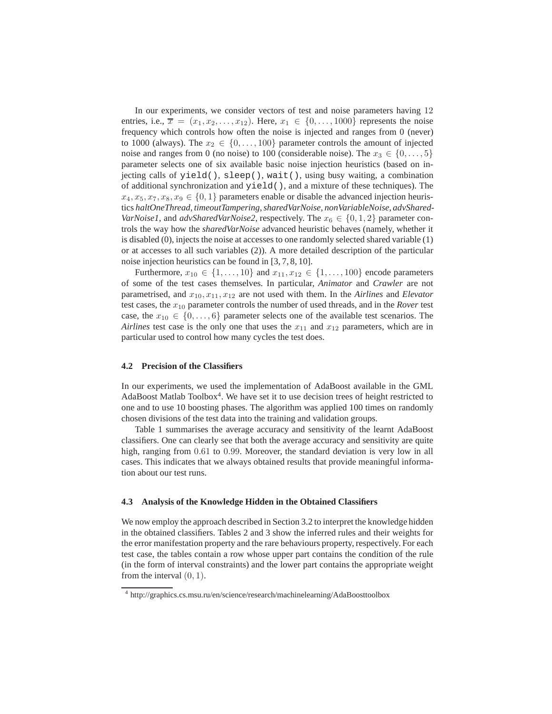In our experiments, we consider vectors of test and noise parameters having 12 entries, i.e.,  $\overline{x} = (x_1, x_2, \ldots, x_{12})$ . Here,  $x_1 \in \{0, \ldots, 1000\}$  represents the noise frequency which controls how often the noise is injected and ranges from 0 (never) to 1000 (always). The  $x_2 \in \{0, \ldots, 100\}$  parameter controls the amount of injected noise and ranges from 0 (no noise) to 100 (considerable noise). The  $x_3 \in \{0, \ldots, 5\}$ parameter selects one of six available basic noise injection heuristics (based on injecting calls of yield(), sleep(), wait(), using busy waiting, a combination of additional synchronization and yield(), and a mixture of these techniques). The  $x_4, x_5, x_7, x_8, x_9 \in \{0, 1\}$  parameters enable or disable the advanced injection heuristics *haltOneThread*, *timeoutTampering*,*sharedVarNoise*, *nonVariableNoise*, *advShared-VarNoise1*, and *advSharedVarNoise2*, respectively. The  $x_6 \in \{0, 1, 2\}$  parameter controls the way how the *sharedVarNoise* advanced heuristic behaves (namely, whether it is disabled (0), injects the noise at accesses to one randomly selected shared variable (1) or at accesses to all such variables (2)). A more detailed description of the particular noise injection heuristics can be found in [3, 7, 8, 10].

Furthermore,  $x_{10} \in \{1, \ldots, 10\}$  and  $x_{11}, x_{12} \in \{1, \ldots, 100\}$  encode parameters of some of the test cases themselves. In particular, *Animator* and *Crawler* are not parametrised, and  $x_{10}$ ,  $x_{11}$ ,  $x_{12}$  are not used with them. In the *Airlines* and *Elevator* test cases, the x<sup>10</sup> parameter controls the number of used threads, and in the *Rover* test case, the  $x_{10} \in \{0, \ldots, 6\}$  parameter selects one of the available test scenarios. The *Airlines* test case is the only one that uses the  $x_{11}$  and  $x_{12}$  parameters, which are in particular used to control how many cycles the test does.

#### **4.2 Precision of the Classifiers**

In our experiments, we used the implementation of AdaBoost available in the GML AdaBoost Matlab Toolbox<sup>4</sup>. We have set it to use decision trees of height restricted to one and to use 10 boosting phases. The algorithm was applied 100 times on randomly chosen divisions of the test data into the training and validation groups.

Table 1 summarises the average accuracy and sensitivity of the learnt AdaBoost classifiers. One can clearly see that both the average accuracy and sensitivity are quite high, ranging from 0.61 to 0.99. Moreover, the standard deviation is very low in all cases. This indicates that we always obtained results that provide meaningful information about our test runs.

### **4.3 Analysis of the Knowledge Hidden in the Obtained Classifiers**

We now employ the approach described in Section 3.2 to interpret the knowledge hidden in the obtained classifiers. Tables 2 and 3 show the inferred rules and their weights for the error manifestation property and the rare behaviours property, respectively. For each test case, the tables contain a row whose upper part contains the condition of the rule (in the form of interval constraints) and the lower part contains the appropriate weight from the interval  $(0, 1)$ .

<sup>4</sup> http://graphics.cs.msu.ru/en/science/research/machinelearning/AdaBoosttoolbox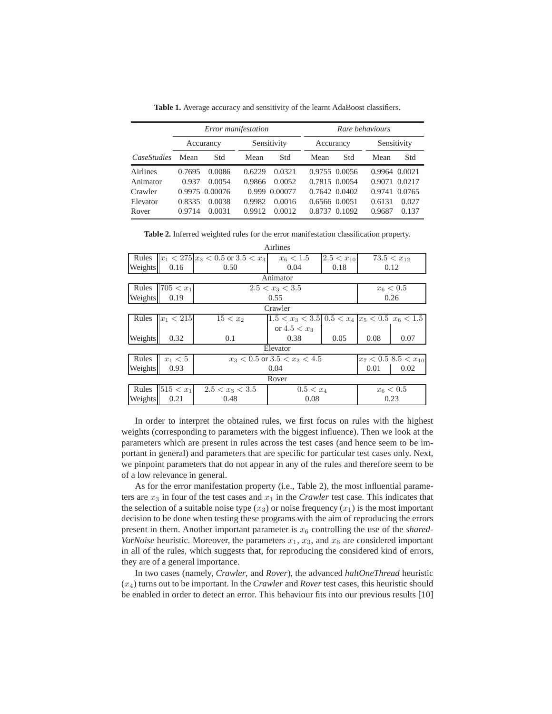*Error manifestation Rare behaviours* Accurancy Sensitivity Accurancy Sensitivity *CaseStudies* Mean Std Mean Std Mean Std Mean Std Airlines 0.7695 0.0086 0.6229 0.0321 0.9755 0.0056 0.9964 0.0021 Animator 0.937 0.0054 0.9866 0.0052 0.7815 0.0054 0.9071 0.0217 Crawler 0.9975 0.00076 0.999 0.00077 0.7642 0.0402 0.9741 0.0765 Elevator 0.8335 0.0038 0.9982 0.0016 0.6566 0.0051 0.6131 0.027 Rover 0.9714 0.0031 0.9912 0.0012 0.8737 0.1092 0.9687 0.137

**Table 1.** Average accuracy and sensitivity of the learnt AdaBoost classifiers.

| Table 2. Inferred weighted rules for the error manifestation classification property. |  |  |  |
|---------------------------------------------------------------------------------------|--|--|--|
|                                                                                       |  |  |  |

|                      |                                  | Airlines       |                                                               |             |                                                                                        |  |  |  |  |
|----------------------|----------------------------------|----------------|---------------------------------------------------------------|-------------|----------------------------------------------------------------------------------------|--|--|--|--|
|                      |                                  | $x_6 < 1.5$    |                                                               |             | $73.5 < x_{12}$                                                                        |  |  |  |  |
| 0.16                 | 0.50                             | 0.04           | 0.18                                                          |             | 0.12                                                                                   |  |  |  |  |
| Animator             |                                  |                |                                                               |             |                                                                                        |  |  |  |  |
| $705 < x_1$          |                                  | $x_6 < 0.5$    |                                                               |             |                                                                                        |  |  |  |  |
| 0.19                 |                                  | 0.55           |                                                               |             |                                                                                        |  |  |  |  |
| Crawler              |                                  |                |                                                               |             |                                                                                        |  |  |  |  |
| Rules $  x_1  < 215$ | $15 < x_2$                       |                |                                                               |             |                                                                                        |  |  |  |  |
|                      |                                  | or $4.5 < x_3$ |                                                               |             |                                                                                        |  |  |  |  |
| 0.32                 | 0.1                              | 0.38           | 0.05                                                          | 0.08        | 0.07                                                                                   |  |  |  |  |
| Elevator             |                                  |                |                                                               |             |                                                                                        |  |  |  |  |
| $x_1 < 5$            | $x_3 < 0.5$ or $3.5 < x_3 < 4.5$ |                |                                                               |             | $x_7 < 0.5   8.5 < x_{10}$                                                             |  |  |  |  |
| 0.93                 | 0.04                             |                |                                                               | 0.01        | 0.02                                                                                   |  |  |  |  |
| Rover                |                                  |                |                                                               |             |                                                                                        |  |  |  |  |
| $ 515 < x_1 $        | $2.5 < x_3 < 3.5$                | $0.5 < x_4$    |                                                               | $x_6 < 0.5$ |                                                                                        |  |  |  |  |
| 0.21                 | 0.48                             | 0.08           |                                                               | 0.23        |                                                                                        |  |  |  |  |
|                      |                                  |                | $ x_1  < 275  x_3  < 0.5$ or $3.5 < x_3$<br>$2.5 < x_3 < 3.5$ |             | $2.5 < x_{10}$<br>0.26<br>$ 1.5 < x_3 < 3.5 $ 0.5 $\lt x_4$ $ x_5 < 0.5 $ $x_6 < 1.5 $ |  |  |  |  |

In order to interpret the obtained rules, we first focus on rules with the highest weights (corresponding to parameters with the biggest influence). Then we look at the parameters which are present in rules across the test cases (and hence seem to be important in general) and parameters that are specific for particular test cases only. Next, we pinpoint parameters that do not appear in any of the rules and therefore seem to be of a low relevance in general.

As for the error manifestation property (i.e., Table 2), the most influential parameters are  $x_3$  in four of the test cases and  $x_1$  in the *Crawler* test case. This indicates that the selection of a suitable noise type  $(x_3)$  or noise frequency  $(x_1)$  is the most important decision to be done when testing these programs with the aim of reproducing the errors present in them. Another important parameter is  $x<sub>6</sub>$  controlling the use of the *shared*-*VarNoise* heuristic. Moreover, the parameters  $x_1$ ,  $x_3$ , and  $x_6$  are considered important in all of the rules, which suggests that, for reproducing the considered kind of errors, they are of a general importance.

In two cases (namely, *Crawler*, and *Rover*), the advanced *haltOneThread* heuristic (x4) turns out to be important. In the *Crawler* and *Rover* test cases, this heuristic should be enabled in order to detect an error. This behaviour fits into our previous results [10]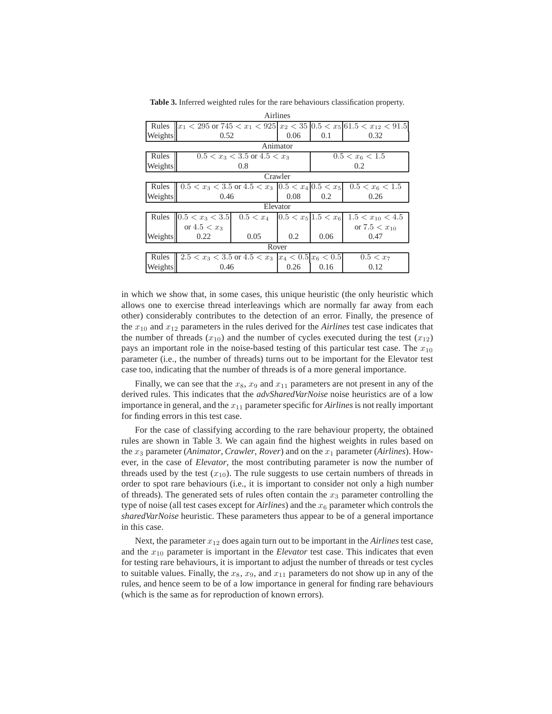| Airlines |                                                          |                                       |      |                   |                                                                                      |  |  |  |
|----------|----------------------------------------------------------|---------------------------------------|------|-------------------|--------------------------------------------------------------------------------------|--|--|--|
|          |                                                          |                                       |      |                   | Rules $x_1 < 295$ or $745 < x_1 < 925$ $x_2 < 35$ $0.5 < x_5$ $61.5 < x_{12} < 91.5$ |  |  |  |
| Weights  | 0.52                                                     |                                       | 0.06 | 0.1               | 0.32                                                                                 |  |  |  |
|          | Animator                                                 |                                       |      |                   |                                                                                      |  |  |  |
| Rules    | $0.5 < x_3 < 3.5$ or $4.5 < x_3$                         |                                       |      | $0.5 < x_6 < 1.5$ |                                                                                      |  |  |  |
| Weights  | 0.8                                                      |                                       |      | 0.2               |                                                                                      |  |  |  |
|          | Crawler                                                  |                                       |      |                   |                                                                                      |  |  |  |
| Rules    | $0.5 < x_3 < 3.5$ or $4.5 < x_3$ $ 0.5 < x_4 0.5 < x_5 $ |                                       |      | $0.5 < x_6 < 1.5$ |                                                                                      |  |  |  |
| Weights  | 0.46                                                     |                                       | 0.08 | 0.2               | 0.26                                                                                 |  |  |  |
| Elevator |                                                          |                                       |      |                   |                                                                                      |  |  |  |
| Rules    | $0.5 < x_3 < 3.5$                                        | $0.5 < x_4$ $ 0.5 < x_5 $ 1.5 $< x_6$ |      |                   | $1.5 < x_{10} < 4.5$                                                                 |  |  |  |
|          | or $4.5 < x_3$                                           |                                       |      |                   | or $7.5 < x_{10}$                                                                    |  |  |  |
| Weights  | 0.22                                                     | 0.05                                  | 0.2  | 0.06              | 0.47                                                                                 |  |  |  |
| Rover    |                                                          |                                       |      |                   |                                                                                      |  |  |  |
| Rules    | $2.5 < x_3 < 3.5$ or $4.5 < x_3$ $ x_4 < 0.5 x_6 < 0.5 $ |                                       |      |                   | $0.5 < x_7$                                                                          |  |  |  |
| Weights  | 0.46                                                     |                                       | 0.26 | 0.16              | 0.12                                                                                 |  |  |  |

**Table 3.** Inferred weighted rules for the rare behaviours classification property.

in which we show that, in some cases, this unique heuristic (the only heuristic which allows one to exercise thread interleavings which are normally far away from each other) considerably contributes to the detection of an error. Finally, the presence of the  $x_{10}$  and  $x_{12}$  parameters in the rules derived for the *Airlines* test case indicates that the number of threads  $(x_{10})$  and the number of cycles executed during the test  $(x_{12})$ pays an important role in the noise-based testing of this particular test case. The  $x_{10}$ parameter (i.e., the number of threads) turns out to be important for the Elevator test case too, indicating that the number of threads is of a more general importance.

Finally, we can see that the  $x_8$ ,  $x_9$  and  $x_{11}$  parameters are not present in any of the derived rules. This indicates that the *advSharedVarNoise* noise heuristics are of a low importance in general, and the  $x_{11}$  parameter specific for *Airlines* is not really important for finding errors in this test case.

For the case of classifying according to the rare behaviour property, the obtained rules are shown in Table 3. We can again find the highest weights in rules based on the  $x_3$  parameter (*Animator*, *Crawler*, *Rover*) and on the  $x_1$  parameter (*Airlines*). However, in the case of *Elevator*, the most contributing parameter is now the number of threads used by the test  $(x_{10})$ . The rule suggests to use certain numbers of threads in order to spot rare behaviours (i.e., it is important to consider not only a high number of threads). The generated sets of rules often contain the  $x_3$  parameter controlling the type of noise (all test cases except for  $Airlines$ ) and the  $x<sub>6</sub>$  parameter which controls the *sharedVarNoise* heuristic. These parameters thus appear to be of a general importance in this case.

Next, the parameter  $x_{12}$  does again turn out to be important in the *Airlines* test case, and the  $x_{10}$  parameter is important in the *Elevator* test case. This indicates that even for testing rare behaviours, it is important to adjust the number of threads or test cycles to suitable values. Finally, the  $x_8$ ,  $x_9$ , and  $x_{11}$  parameters do not show up in any of the rules, and hence seem to be of a low importance in general for finding rare behaviours (which is the same as for reproduction of known errors).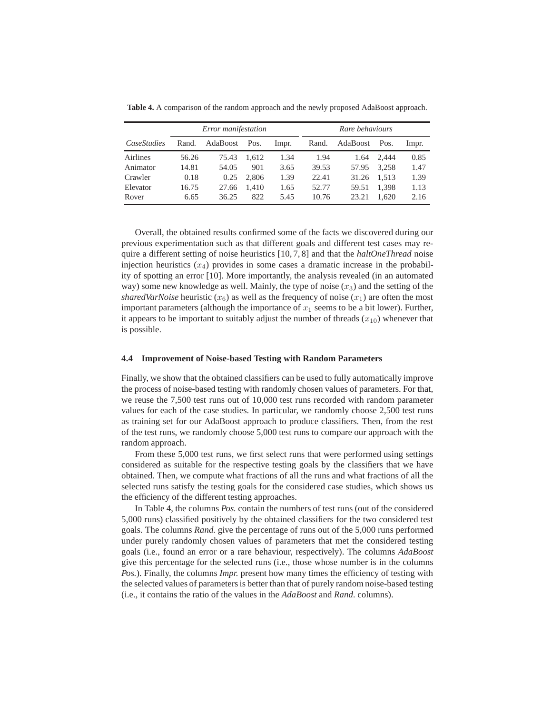|             | Error manifestation |          |       |       | Rare behaviours |          |       |       |
|-------------|---------------------|----------|-------|-------|-----------------|----------|-------|-------|
| CaseStudies | Rand.               | AdaBoost | Pos.  | Impr. | Rand.           | AdaBoost | Pos.  | Impr. |
| Airlines    | 56.26               | 75.43    | 1.612 | 1.34  | 1.94            | 1.64     | 2.444 | 0.85  |
| Animator    | 14.81               | 54.05    | 901   | 3.65  | 39.53           | 57.95    | 3.258 | 1.47  |
| Crawler     | 0.18                | 0.25     | 2.806 | 1.39  | 22.41           | 31.26    | 1.513 | 1.39  |
| Elevator    | 16.75               | 27.66    | 1.410 | 1.65  | 52.77           | 59.51    | 1,398 | 1.13  |
| Rover       | 6.65                | 36.25    | 822   | 5.45  | 10.76           | 23.21    | 1.620 | 2.16  |

**Table 4.** A comparison of the random approach and the newly proposed AdaBoost approach.

Overall, the obtained results confirmed some of the facts we discovered during our previous experimentation such as that different goals and different test cases may require a different setting of noise heuristics [10, 7, 8] and that the *haltOneThread* noise injection heuristics  $(x_4)$  provides in some cases a dramatic increase in the probability of spotting an error [10]. More importantly, the analysis revealed (in an automated way) some new knowledge as well. Mainly, the type of noise  $(x_3)$  and the setting of the *sharedVarNoise* heuristic  $(x<sub>6</sub>)$  as well as the frequency of noise  $(x<sub>1</sub>)$  are often the most important parameters (although the importance of  $x_1$  seems to be a bit lower). Further, it appears to be important to suitably adjust the number of threads  $(x_{10})$  whenever that is possible.

#### **4.4 Improvement of Noise-based Testing with Random Parameters**

Finally, we show that the obtained classifiers can be used to fully automatically improve the process of noise-based testing with randomly chosen values of parameters. For that, we reuse the 7,500 test runs out of 10,000 test runs recorded with random parameter values for each of the case studies. In particular, we randomly choose 2,500 test runs as training set for our AdaBoost approach to produce classifiers. Then, from the rest of the test runs, we randomly choose 5,000 test runs to compare our approach with the random approach.

From these 5,000 test runs, we first select runs that were performed using settings considered as suitable for the respective testing goals by the classifiers that we have obtained. Then, we compute what fractions of all the runs and what fractions of all the selected runs satisfy the testing goals for the considered case studies, which shows us the efficiency of the different testing approaches.

In Table 4, the columns *Pos.* contain the numbers of test runs (out of the considered 5,000 runs) classified positively by the obtained classifiers for the two considered test goals. The columns *Rand.* give the percentage of runs out of the 5,000 runs performed under purely randomly chosen values of parameters that met the considered testing goals (i.e., found an error or a rare behaviour, respectively). The columns *AdaBoost* give this percentage for the selected runs (i.e., those whose number is in the columns *Pos.*). Finally, the columns *Impr.* present how many times the efficiency of testing with the selected values of parameters is better than that of purely random noise-based testing (i.e., it contains the ratio of the values in the *AdaBoost* and *Rand.* columns).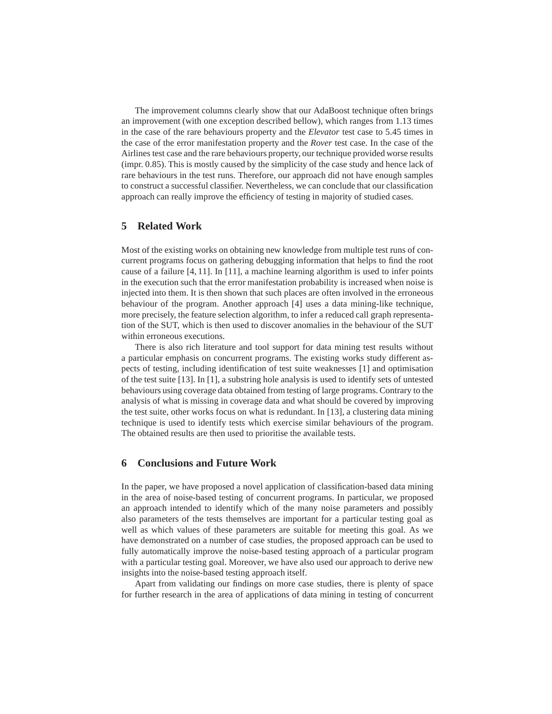The improvement columns clearly show that our AdaBoost technique often brings an improvement (with one exception described bellow), which ranges from 1.13 times in the case of the rare behaviours property and the *Elevator* test case to 5.45 times in the case of the error manifestation property and the *Rover* test case. In the case of the Airlines test case and the rare behaviours property, our technique provided worse results (impr. 0.85). This is mostly caused by the simplicity of the case study and hence lack of rare behaviours in the test runs. Therefore, our approach did not have enough samples to construct a successful classifier. Nevertheless, we can conclude that our classification approach can really improve the efficiency of testing in majority of studied cases.

## **5 Related Work**

Most of the existing works on obtaining new knowledge from multiple test runs of concurrent programs focus on gathering debugging information that helps to find the root cause of a failure [4, 11]. In [11], a machine learning algorithm is used to infer points in the execution such that the error manifestation probability is increased when noise is injected into them. It is then shown that such places are often involved in the erroneous behaviour of the program. Another approach [4] uses a data mining-like technique, more precisely, the feature selection algorithm, to infer a reduced call graph representation of the SUT, which is then used to discover anomalies in the behaviour of the SUT within erroneous executions.

There is also rich literature and tool support for data mining test results without a particular emphasis on concurrent programs. The existing works study different aspects of testing, including identification of test suite weaknesses [1] and optimisation of the test suite [13]. In [1], a substring hole analysis is used to identify sets of untested behaviours using coverage data obtained from testing of large programs. Contrary to the analysis of what is missing in coverage data and what should be covered by improving the test suite, other works focus on what is redundant. In [13], a clustering data mining technique is used to identify tests which exercise similar behaviours of the program. The obtained results are then used to prioritise the available tests.

# **6 Conclusions and Future Work**

In the paper, we have proposed a novel application of classification-based data mining in the area of noise-based testing of concurrent programs. In particular, we proposed an approach intended to identify which of the many noise parameters and possibly also parameters of the tests themselves are important for a particular testing goal as well as which values of these parameters are suitable for meeting this goal. As we have demonstrated on a number of case studies, the proposed approach can be used to fully automatically improve the noise-based testing approach of a particular program with a particular testing goal. Moreover, we have also used our approach to derive new insights into the noise-based testing approach itself.

Apart from validating our findings on more case studies, there is plenty of space for further research in the area of applications of data mining in testing of concurrent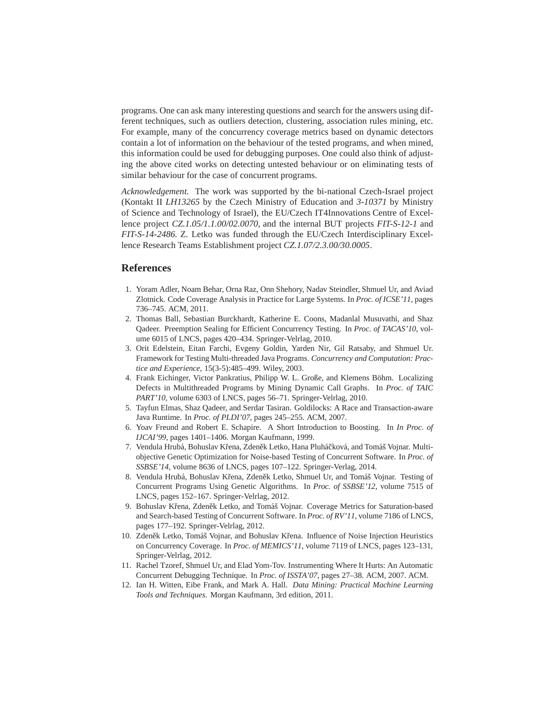programs. One can ask many interesting questions and search for the answers using different techniques, such as outliers detection, clustering, association rules mining, etc. For example, many of the concurrency coverage metrics based on dynamic detectors contain a lot of information on the behaviour of the tested programs, and when mined, this information could be used for debugging purposes. One could also think of adjusting the above cited works on detecting untested behaviour or on eliminating tests of similar behaviour for the case of concurrent programs.

*Acknowledgement.* The work was supported by the bi-national Czech-Israel project (Kontakt II *LH13265* by the Czech Ministry of Education and *3-10371* by Ministry of Science and Technology of Israel), the EU/Czech IT4Innovations Centre of Excellence project *CZ.1.05/1.1.00/02.0070*, and the internal BUT projects *FIT-S-12-1* and *FIT-S-14-2486*. Z. Letko was funded through the EU/Czech Interdisciplinary Excellence Research Teams Establishment project *CZ.1.07/2.3.00/30.0005*.

## **References**

- 1. Yoram Adler, Noam Behar, Orna Raz, Onn Shehory, Nadav Steindler, Shmuel Ur, and Aviad Zlotnick. Code Coverage Analysis in Practice for Large Systems. In *Proc. of ICSE'11*, pages 736–745. ACM, 2011.
- 2. Thomas Ball, Sebastian Burckhardt, Katherine E. Coons, Madanlal Musuvathi, and Shaz Qadeer. Preemption Sealing for Efficient Concurrency Testing. In *Proc. of TACAS'10*, volume 6015 of LNCS, pages 420–434. Springer-Velrlag, 2010.
- 3. Orit Edelstein, Eitan Farchi, Evgeny Goldin, Yarden Nir, Gil Ratsaby, and Shmuel Ur. Framework for Testing Multi-threaded Java Programs. *Concurrency and Computation: Practice and Experience*, 15(3-5):485–499. Wiley, 2003.
- 4. Frank Eichinger, Victor Pankratius, Philipp W. L. Große, and Klemens Böhm. Localizing Defects in Multithreaded Programs by Mining Dynamic Call Graphs. In *Proc. of TAIC PART'10*, volume 6303 of LNCS, pages 56–71. Springer-Velrlag, 2010.
- 5. Tayfun Elmas, Shaz Qadeer, and Serdar Tasiran. Goldilocks: A Race and Transaction-aware Java Runtime. In *Proc. of PLDI'07*, pages 245–255. ACM, 2007.
- 6. Yoav Freund and Robert E. Schapire. A Short Introduction to Boosting. In *In Proc. of IJCAI'99*, pages 1401–1406. Morgan Kaufmann, 1999.
- 7. Vendula Hrubá, Bohuslav Křena, Zdeněk Letko, Hana Pluháčková, and Tomáš Vojnar. Multiobjective Genetic Optimization for Noise-based Testing of Concurrent Software. In *Proc. of SSBSE'14*, volume 8636 of LNCS, pages 107–122. Springer-Verlag, 2014.
- 8. Vendula Hrubá, Bohuslav Křena, Zdeněk Letko, Shmuel Ur, and Tomáš Vojnar. Testing of Concurrent Programs Using Genetic Algorithms. In *Proc. of SSBSE'12*, volume 7515 of LNCS, pages 152–167. Springer-Velrlag, 2012.
- 9. Bohuslav Křena, Zdeněk Letko, and Tomáš Vojnar. Coverage Metrics for Saturation-based and Search-based Testing of Concurrent Software. In *Proc. of RV'11*, volume 7186 of LNCS, pages 177–192. Springer-Velrlag, 2012.
- 10. Zdeněk Letko, Tomáš Vojnar, and Bohuslav Křena. Influence of Noise Injection Heuristics on Concurrency Coverage. In *Proc. of MEMICS'11*, volume 7119 of LNCS, pages 123–131, Springer-Velrlag, 2012.
- 11. Rachel Tzoref, Shmuel Ur, and Elad Yom-Tov. Instrumenting Where It Hurts: An Automatic Concurrent Debugging Technique. In *Proc. of ISSTA'07*, pages 27–38. ACM, 2007. ACM.
- 12. Ian H. Witten, Eibe Frank, and Mark A. Hall. *Data Mining: Practical Machine Learning Tools and Techniques*. Morgan Kaufmann, 3rd edition, 2011.